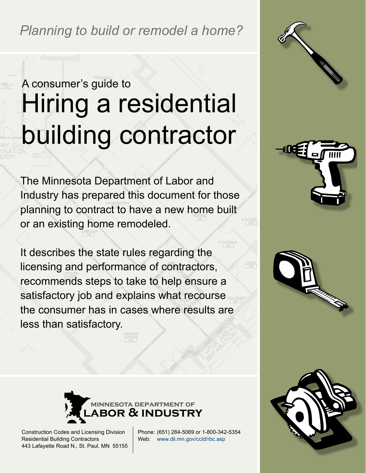*Planning to build or remodel a home?* 

# Hiring a residential building contractor A consumer's guide to

The Minnesota Department of Labor and Industry has prepared this document for those planning to contract to have a new home built or an existing home remodeled.

It describes the state rules regarding the licensing and performance of contractors, recommends steps to take to help ensure a satisfactory job and explains what recourse the consumer has in cases where results are less than satisfactory.







Construction Codes and Licensing Division Residential Building Contractors 443 Lafayette Road N., St. Paul, MN 55155 Phone: (651) 284-5069 or 1-800-342-5354 Web: [www.dli.mn.gov/ccld/rbc.asp](http://www.dli.mn.gov/ccld/rbc.asp)

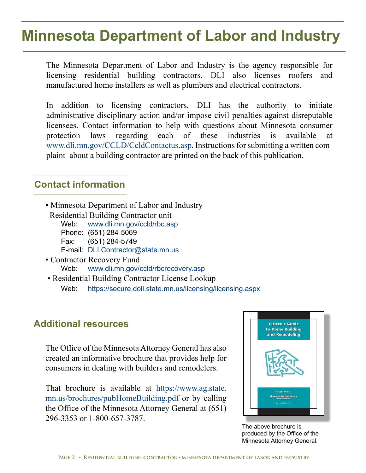# **Minnesota Department of Labor and Industry**

The Minnesota Department of Labor and Industry is the agency responsible for licensing residential building contractors. DLI also licenses roofers and manufactured home installers as well as plumbers and electrical contractors.

In addition to licensing contractors, DLI has the authority to initiate administrative disciplinary action and/or impose civil penalties against disreputable licensees. Contact information to help with questions about Minnesota consumer protection laws regarding each of these industries is available at [www.dli.mn.gov/CCLD/CcldContactus.asp.](http://www.dli.mn.gov/CCLD/CcldContactus.asp.) Instructions for submitting a written complaint about a building contractor are printed on the back of this publication.

### **Contact information**

- Minnesota Department of Labor and Industry
- Residential Building Contractor unit<br>Web: www.dli.mn.gov/ccld/rbc.as www.dli.mn.gov/ccld/rbc.asp
	- Phone: (651) 284-5069
	- Fax: (651) 284-5749
	- E-mail: DLI.Contractor@state.mn.us
- Contractor Recovery Fund Web: www.dli.mn.gov/ccld/rbcrecovery.asp
- Residential Building Contractor License Lookup Web: https://secure.doli.state.mn.us/licensing/licensing.aspx

### **Additional resources**

The Office of the Minnesota Attorney General has also created an informative brochure that provides help for consumers in dealing with builders and remodelers.

That brochure is available at [https://www.ag.state.](https://www.ag.state.mn.us/brochures/pubHomeBuilding.pdf) [mn.us/brochures/pubHomeBuilding.pdf](https://www.ag.state.mn.us/brochures/pubHomeBuilding.pdf) or by calling the Office of the Minnesota Attorney General at (651) 296-3353 or 1-800-657-3787.



The above brochure is produced by the Office of the Minnesota Attorney General.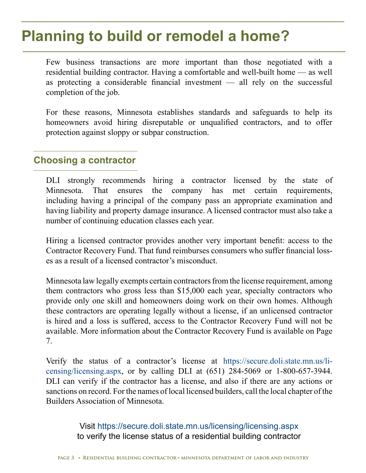# **Planning to build or remodel a home?**

Few business transactions are more important than those negotiated with a residential building contractor. Having a comfortable and well-built home — as well as protecting a considerable financial investment — all rely on the successful completion of the job.

For these reasons, Minnesota establishes standards and safeguards to help its homeowners avoid hiring disreputable or unqualified contractors, and to offer protection against sloppy or subpar construction.

### **Choosing a contractor**

DLI strongly recommends hiring a contractor licensed by the state of Minnesota. That ensures the company has met certain requirements, including having a principal of the company pass an appropriate examination and having liability and property damage insurance. A licensed contractor must also take a number of continuing education classes each year.

Hiring a licensed contractor provides another very important benefit: access to the Contractor Recovery Fund. That fund reimburses consumers who suffer financial losses as a result of a licensed contractor's misconduct.

Minnesota law legally exempts certain contractors from the license requirement, among them contractors who gross less than \$15,000 each year, specialty contractors who provide only one skill and homeowners doing work on their own homes. Although these contractors are operating legally without a license, if an unlicensed contractor is hired and a loss is suffered, access to the Contractor Recovery Fund will not be available. More information about the Contractor Recovery Fund is available on Page 7.

Verify the status of a contractor's license at [https://secure.doli.state.mn.us/li](https://secure.doli.state.mn.us/licensing/licensing.aspx)[censing/licensing.aspx](https://secure.doli.state.mn.us/licensing/licensing.aspx), or by calling DLI at (651) 284-5069 or 1-800-657-3944. DLI can verify if the contractor has a license, and also if there are any actions or sanctions on record. For the names of local licensed builders, call the local chapter of the Builders Association of Minnesota.

> Visit https://secure.doli.state.mn.us/licensing/licensing.aspx to verify the license status of a residential building contractor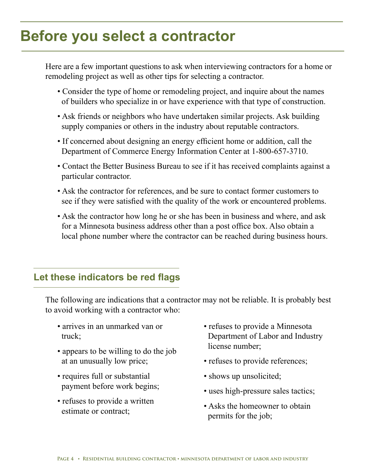# **Before you select a contractor**

Here are a few important questions to ask when interviewing contractors for a home or remodeling project as well as other tips for selecting a contractor.

- Consider the type of home or remodeling project, and inquire about the names of builders who specialize in or have experience with that type of construction.
- Ask friends or neighbors who have undertaken similar projects. Ask building supply companies or others in the industry about reputable contractors.
- If concerned about designing an energy efficient home or addition, call the Department of Commerce Energy Information Center at 1-800-657-3710.
- Contact the Better Business Bureau to see if it has received complaints against a particular contractor.
- Ask the contractor for references, and be sure to contact former customers to see if they were satisfied with the quality of the work or encountered problems.
- Ask the contractor how long he or she has been in business and where, and ask for a Minnesota business address other than a post office box. Also obtain a local phone number where the contractor can be reached during business hours.

### **Let these indicators be red flags**

The following are indications that a contractor may not be reliable. It is probably best to avoid working with a contractor who:

- arrives in an unmarked van or truck;
- appears to be willing to do the job at an unusually low price;
- requires full or substantial payment before work begins;
- refuses to provide a written estimate or contract;
- refuses to provide a Minnesota Department of Labor and Industry license number;
- refuses to provide references;
- shows up unsolicited;
- uses high-pressure sales tactics;
- Asks the homeowner to obtain permits for the job;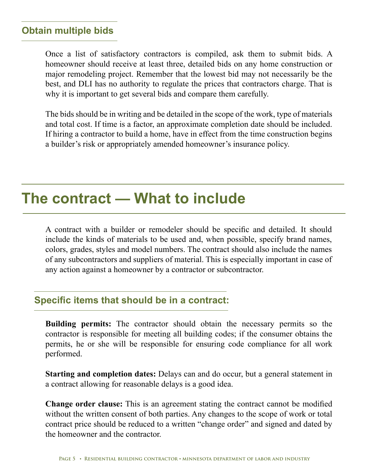### **Obtain multiple bids**

Once a list of satisfactory contractors is compiled, ask them to submit bids. A homeowner should receive at least three, detailed bids on any home construction or major remodeling project. Remember that the lowest bid may not necessarily be the best, and DLI has no authority to regulate the prices that contractors charge. That is why it is important to get several bids and compare them carefully.

The bids should be in writing and be detailed in the scope of the work, type of materials and total cost. If time is a factor, an approximate completion date should be included. If hiring a contractor to build a home, have in effect from the time construction begins a builder's risk or appropriately amended homeowner's insurance policy.

## **The contract — What to include**

A contract with a builder or remodeler should be specific and detailed. It should include the kinds of materials to be used and, when possible, specify brand names, colors, grades, styles and model numbers. The contract should also include the names of any subcontractors and suppliers of material. This is especially important in case of any action against a homeowner by a contractor or subcontractor.

### **Specific items that should be in a contract:**

**Building permits:** The contractor should obtain the necessary permits so the contractor is responsible for meeting all building codes; if the consumer obtains the permits, he or she will be responsible for ensuring code compliance for all work performed.

**Starting and completion dates:** Delays can and do occur, but a general statement in a contract allowing for reasonable delays is a good idea.

**Change order clause:** This is an agreement stating the contract cannot be modified without the written consent of both parties. Any changes to the scope of work or total contract price should be reduced to a written "change order" and signed and dated by the homeowner and the contractor.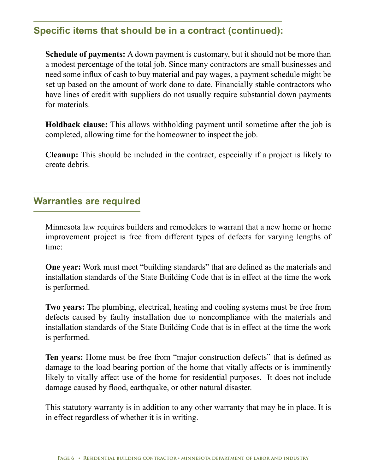### **Specific items that should be in a contract (continued):**

**Schedule of payments:** A down payment is customary, but it should not be more than a modest percentage of the total job. Since many contractors are small businesses and need some influx of cash to buy material and pay wages, a payment schedule might be set up based on the amount of work done to date. Financially stable contractors who have lines of credit with suppliers do not usually require substantial down payments for materials.

**Holdback clause:** This allows withholding payment until sometime after the job is completed, allowing time for the homeowner to inspect the job.

**Cleanup:** This should be included in the contract, especially if a project is likely to create debris.

### **Warranties are required**

Minnesota law requires builders and remodelers to warrant that a new home or home improvement project is free from different types of defects for varying lengths of time:

**One year:** Work must meet "building standards" that are defined as the materials and installation standards of the State Building Code that is in effect at the time the work is performed.

**Two years:** The plumbing, electrical, heating and cooling systems must be free from defects caused by faulty installation due to noncompliance with the materials and installation standards of the State Building Code that is in effect at the time the work is performed.

**Ten years:** Home must be free from "major construction defects" that is defined as damage to the load bearing portion of the home that vitally affects or is imminently likely to vitally affect use of the home for residential purposes. It does not include damage caused by flood, earthquake, or other natural disaster.

This statutory warranty is in addition to any other warranty that may be in place. It is in effect regardless of whether it is in writing.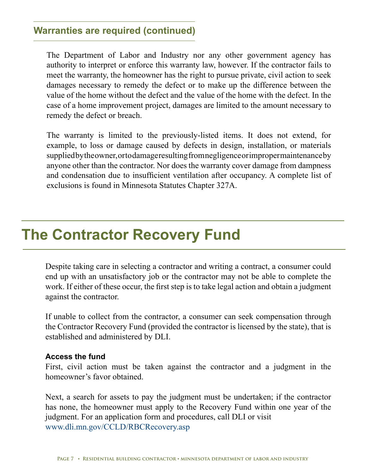### **Warranties are required (continued)**

The Department of Labor and Industry nor any other government agency has authority to interpret or enforce this warranty law, however. If the contractor fails to meet the warranty, the homeowner has the right to pursue private, civil action to seek damages necessary to remedy the defect or to make up the difference between the value of the home without the defect and the value of the home with the defect. In the case of a home improvement project, damages are limited to the amount necessary to remedy the defect or breach.

The warranty is limited to the previously-listed items. It does not extend, for example, to loss or damage caused by defects in design, installation, or materials supplied by the owner, or to damage resulting from negligence or improper maintenance by anyone other than the contractor. Nor does the warranty cover damage from dampness and condensation due to insufficient ventilation after occupancy. A complete list of exclusions is found in Minnesota Statutes Chapter 327A.

## **The Contractor Recovery Fund**

Despite taking care in selecting a contractor and writing a contract, a consumer could end up with an unsatisfactory job or the contractor may not be able to complete the work. If either of these occur, the first step is to take legal action and obtain a judgment against the contractor.

If unable to collect from the contractor, a consumer can seek compensation through the Contractor Recovery Fund (provided the contractor is licensed by the state), that is established and administered by DLI.

#### **Access the fund**

First, civil action must be taken against the contractor and a judgment in the homeowner's favor obtained.

Next, a search for assets to pay the judgment must be undertaken; if the contractor has none, the homeowner must apply to the Recovery Fund within one year of the judgment. For an application form and procedures, call DLI or visit [www.dli.mn.gov/CCLD/RBCRecovery.asp](http://www.dli.mn.gov/CCLD/RBCRecovery.asp)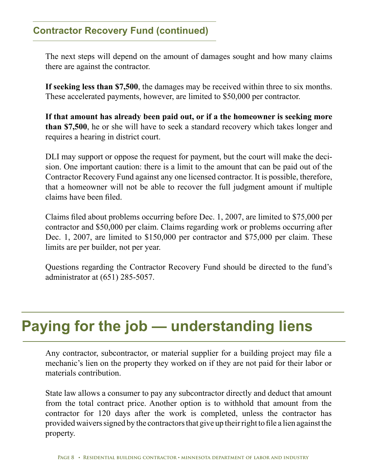### **Contractor Recovery Fund (continued)**

The next steps will depend on the amount of damages sought and how many claims there are against the contractor.

**If seeking less than \$7,500**, the damages may be received within three to six months. These accelerated payments, however, are limited to \$50,000 per contractor.

**If that amount has already been paid out, or if a the homeowner is seeking more than \$7,500**, he or she will have to seek a standard recovery which takes longer and requires a hearing in district court.

DLI may support or oppose the request for payment, but the court will make the decision. One important caution: there is a limit to the amount that can be paid out of the Contractor Recovery Fund against any one licensed contractor. It is possible, therefore, that a homeowner will not be able to recover the full judgment amount if multiple claims have been filed.

Claims filed about problems occurring before Dec. 1, 2007, are limited to \$75,000 per contractor and \$50,000 per claim. Claims regarding work or problems occurring after Dec. 1, 2007, are limited to \$150,000 per contractor and \$75,000 per claim. These limits are per builder, not per year.

Questions regarding the Contractor Recovery Fund should be directed to the fund's administrator at (651) 285-5057.

# **Paying for the job — understanding liens**

Any contractor, subcontractor, or material supplier for a building project may file a mechanic's lien on the property they worked on if they are not paid for their labor or materials contribution.

State law allows a consumer to pay any subcontractor directly and deduct that amount from the total contract price. Another option is to withhold that amount from the contractor for 120 days after the work is completed, unless the contractor has provided waivers signed by the contractors that give up their right to file a lien against the property.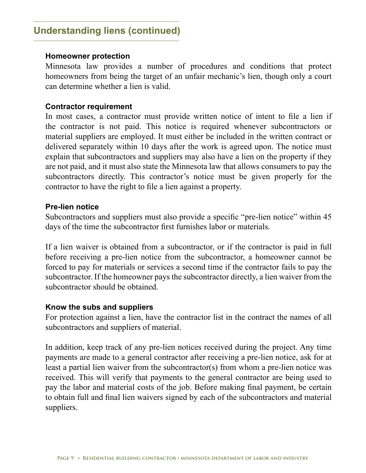### **Understanding liens (continued)**

#### **Homeowner protection**

Minnesota law provides a number of procedures and conditions that protect homeowners from being the target of an unfair mechanic's lien, though only a court can determine whether a lien is valid.

#### **Contractor requirement**

In most cases, a contractor must provide written notice of intent to file a lien if the contractor is not paid. This notice is required whenever subcontractors or material suppliers are employed. It must either be included in the written contract or delivered separately within 10 days after the work is agreed upon. The notice must explain that subcontractors and suppliers may also have a lien on the property if they are not paid, and it must also state the Minnesota law that allows consumers to pay the subcontractors directly. This contractor's notice must be given properly for the contractor to have the right to file a lien against a property.

#### **Pre-lien notice**

Subcontractors and suppliers must also provide a specific "pre-lien notice" within 45 days of the time the subcontractor first furnishes labor or materials.

If a lien waiver is obtained from a subcontractor, or if the contractor is paid in full before receiving a pre-lien notice from the subcontractor, a homeowner cannot be forced to pay for materials or services a second time if the contractor fails to pay the subcontractor. If the homeowner pays the subcontractor directly, a lien waiver from the subcontractor should be obtained.

#### **Know the subs and suppliers**

For protection against a lien, have the contractor list in the contract the names of all subcontractors and suppliers of material.

In addition, keep track of any pre-lien notices received during the project. Any time payments are made to a general contractor after receiving a pre-lien notice, ask for at least a partial lien waiver from the subcontractor(s) from whom a pre-lien notice was received. This will verify that payments to the general contractor are being used to pay the labor and material costs of the job. Before making final payment, be certain to obtain full and final lien waivers signed by each of the subcontractors and material suppliers.